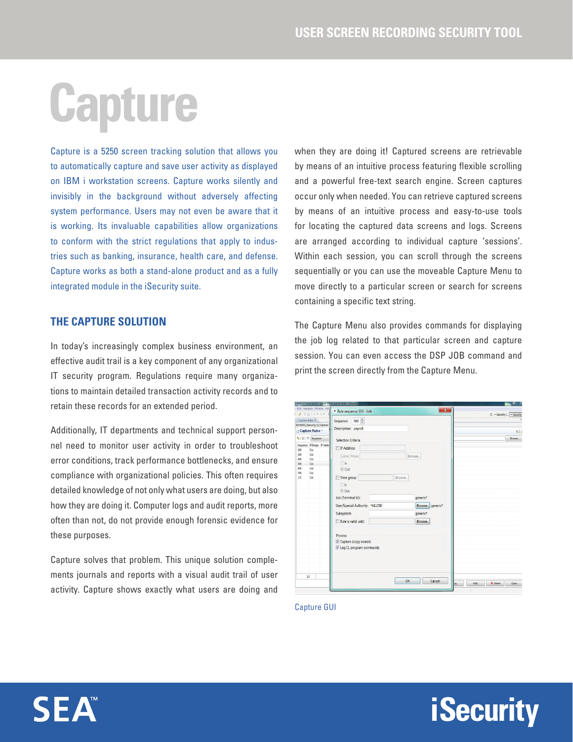## Capture

Capture is a 5250 screen tracking solution that allows you to automatically capture and save user activity as displayed on IBM i workstation screens. Capture works silently and invisibly in the background without adversely affecting system performance. Users may not even be aware that it is working. Its invaluable capabilities allow organizations to conform with the strict regulations that apply to industries such as banking, insurance, health care, and defense. Capture works as both a stand-alone product and as a fully integrated module in the iSecurity suite.

## **THE CAPTURE SOLUTION**

In today's increasingly complex business environment, an effective audit trail is a key component of any organizational IT security program. Regulations require many organizations to maintain detailed transaction activity records and to retain these records for an extended period.

Additionally, IT departments and technical support personnel need to monitor user activity in order to troubleshoot error conditions, track performance bottlenecks, and ensure compliance with organizational policies. This often requires detailed knowledge of not only what users are doing, but also how they are doing it. Computer logs and audit reports, more often than not, do not provide enough forensic evidence for these purposes.

Capture solves that problem. This unique solution complements journals and reports with a visual audit trail of user activity. Capture shows exactly what users are doing and when they are doing it! Captured screens are retrievable by means of an intuitive process featuring flexible scrolling and a powerful free-text search engine. Screen captures occur only when needed. You can retrieve captured screens by means of an intuitive process and easy-to-use tools for locating the captured data screens and logs. Screens are arranged according to individual capture 'sessions'. Within each session, you can scroll through the screens sequentially or you can use the moveable Capture Menu to move directly to a particular screen or search for screens containing a specific text string.

The Capture Menu also provides commands for displaying the job log related to that particular screen and capture session. You can even access the DSP JOB command and print the screen directly from the Capture Menu.

|                                         | Capture Rules 23                                             | Sequence                        | 500 $\frac{4}{x}$ |  |        |                      |                 |  |         | B & Becurity ( Security |               |
|-----------------------------------------|--------------------------------------------------------------|---------------------------------|-------------------|--|--------|----------------------|-----------------|--|---------|-------------------------|---------------|
|                                         | SEA4001C/ISecurity [1]/Capture !                             | Description: payroll            |                   |  |        |                      |                 |  |         |                         |               |
|                                         | Capture Rules -                                              |                                 |                   |  |        |                      |                 |  |         |                         | $\frac{1}{2}$ |
|                                         | $\left  \cdot \right  \Rightarrow$ $\left  \right $ Sequence | Selection Criteria              |                   |  |        |                      |                 |  | Browse. |                         |               |
|                                         | Sequence IP Range IP Addre                                   | <b>IP Address</b>               |                   |  |        |                      |                 |  |         |                         |               |
| 200                                     | Out                                                          |                                 |                   |  |        |                      |                 |  |         |                         |               |
| 300                                     | Out                                                          | Subnet Masic                    |                   |  |        | Browse               |                 |  |         |                         |               |
| Out<br>400<br><b>O</b> In<br>Out<br>500 |                                                              |                                 |                   |  |        |                      |                 |  |         |                         |               |
| 600                                     | Out                                                          |                                 |                   |  |        |                      |                 |  |         |                         |               |
| 700                                     | Out                                                          | © Out                           |                   |  |        |                      |                 |  |         |                         |               |
| 175                                     | Out                                                          | Time group                      |                   |  | Browse |                      |                 |  |         |                         |               |
|                                         |                                                              | OIn                             |                   |  |        |                      |                 |  |         |                         |               |
|                                         |                                                              | (a) Out                         |                   |  |        |                      |                 |  |         |                         |               |
|                                         |                                                              |                                 |                   |  |        |                      |                 |  |         |                         |               |
|                                         |                                                              | Job (Terminal Id):              |                   |  |        | generic <sup>*</sup> |                 |  |         |                         |               |
|                                         |                                                              | User/Special Authority: *ALLOBJ |                   |  |        |                      | Browse generic* |  |         |                         |               |
|                                         |                                                              | Subsystem:                      |                   |  |        | generic <sup>*</sup> |                 |  |         |                         |               |
|                                         |                                                              | Rule is valid until:            |                   |  |        | Browse               |                 |  |         |                         |               |
|                                         |                                                              | Process                         |                   |  |        |                      |                 |  |         |                         |               |
|                                         |                                                              | Capture (copy screen)           |                   |  |        |                      |                 |  |         |                         |               |
|                                         |                                                              | V Log CL program commands       |                   |  |        |                      |                 |  |         |                         |               |
|                                         |                                                              |                                 |                   |  |        |                      |                 |  |         |                         |               |
|                                         |                                                              |                                 |                   |  |        |                      |                 |  |         |                         |               |
|                                         |                                                              |                                 |                   |  |        |                      |                 |  |         |                         |               |
|                                         |                                                              |                                 |                   |  |        |                      |                 |  |         |                         |               |
|                                         |                                                              |                                 |                   |  |        |                      |                 |  |         |                         |               |
|                                         | 1/7                                                          |                                 |                   |  |        |                      |                 |  |         |                         |               |

**iSecurity** 

Capture GUI